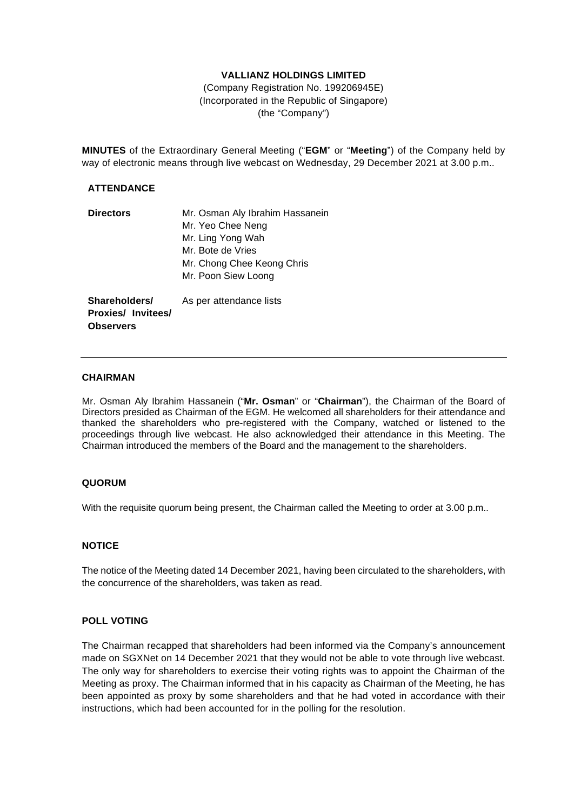# **VALLIANZ HOLDINGS LIMITED**

(Company Registration No. 199206945E) (Incorporated in the Republic of Singapore) (the "Company")

**MINUTES** of the Extraordinary General Meeting ("**EGM**" or "**Meeting**") of the Company held by way of electronic means through live webcast on Wednesday, 29 December 2021 at 3.00 p.m..

## **ATTENDANCE**

| <b>Directors</b> | Mr. Osman Aly Ibrahim Hassanein |  |
|------------------|---------------------------------|--|
|                  | Mr. Yeo Chee Neng               |  |
|                  | Mr. Ling Yong Wah               |  |
|                  | Mr. Bote de Vries               |  |
|                  | Mr. Chong Chee Keong Chris      |  |
|                  | Mr. Poon Siew Loong             |  |
|                  |                                 |  |
| Shareholders/    | As per attendance lists         |  |

**Proxies/ Invitees/ Observers**

# **CHAIRMAN**

Mr. Osman Aly Ibrahim Hassanein ("**Mr. Osman**" or "**Chairman**"), the Chairman of the Board of Directors presided as Chairman of the EGM. He welcomed all shareholders for their attendance and thanked the shareholders who pre-registered with the Company, watched or listened to the proceedings through live webcast. He also acknowledged their attendance in this Meeting. The Chairman introduced the members of the Board and the management to the shareholders.

## **QUORUM**

With the requisite quorum being present, the Chairman called the Meeting to order at 3.00 p.m..

# **NOTICE**

The notice of the Meeting dated 14 December 2021, having been circulated to the shareholders, with the concurrence of the shareholders, was taken as read.

## **POLL VOTING**

The Chairman recapped that shareholders had been informed via the Company's announcement made on SGXNet on 14 December 2021 that they would not be able to vote through live webcast. The only way for shareholders to exercise their voting rights was to appoint the Chairman of the Meeting as proxy. The Chairman informed that in his capacity as Chairman of the Meeting, he has been appointed as proxy by some shareholders and that he had voted in accordance with their instructions, which had been accounted for in the polling for the resolution.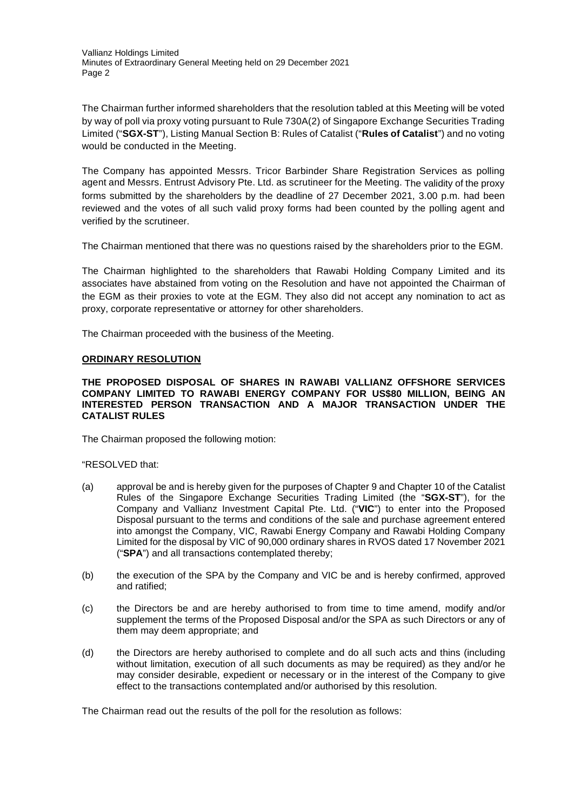Vallianz Holdings Limited Minutes of Extraordinary General Meeting held on 29 December 2021 Page 2

The Chairman further informed shareholders that the resolution tabled at this Meeting will be voted by way of poll via proxy voting pursuant to Rule 730A(2) of Singapore Exchange Securities Trading Limited ("**SGX-ST**"), Listing Manual Section B: Rules of Catalist ("**Rules of Catalist**") and no voting would be conducted in the Meeting.

The Company has appointed Messrs. Tricor Barbinder Share Registration Services as polling agent and Messrs. Entrust Advisory Pte. Ltd. as scrutineer for the Meeting. The validity of the proxy forms submitted by the shareholders by the deadline of 27 December 2021, 3.00 p.m. had been reviewed and the votes of all such valid proxy forms had been counted by the polling agent and verified by the scrutineer.

The Chairman mentioned that there was no questions raised by the shareholders prior to the EGM.

The Chairman highlighted to the shareholders that Rawabi Holding Company Limited and its associates have abstained from voting on the Resolution and have not appointed the Chairman of the EGM as their proxies to vote at the EGM. They also did not accept any nomination to act as proxy, corporate representative or attorney for other shareholders.

The Chairman proceeded with the business of the Meeting.

### **ORDINARY RESOLUTION**

#### **THE PROPOSED DISPOSAL OF SHARES IN RAWABI VALLIANZ OFFSHORE SERVICES COMPANY LIMITED TO RAWABI ENERGY COMPANY FOR US\$80 MILLION, BEING AN INTERESTED PERSON TRANSACTION AND A MAJOR TRANSACTION UNDER THE CATALIST RULES**

The Chairman proposed the following motion:

#### "RESOLVED that:

- (a) approval be and is hereby given for the purposes of Chapter 9 and Chapter 10 of the Catalist Rules of the Singapore Exchange Securities Trading Limited (the "**SGX-ST**"), for the Company and Vallianz Investment Capital Pte. Ltd. ("**VIC**") to enter into the Proposed Disposal pursuant to the terms and conditions of the sale and purchase agreement entered into amongst the Company, VIC, Rawabi Energy Company and Rawabi Holding Company Limited for the disposal by VIC of 90,000 ordinary shares in RVOS dated 17 November 2021 ("**SPA**") and all transactions contemplated thereby;
- (b) the execution of the SPA by the Company and VIC be and is hereby confirmed, approved and ratified;
- (c) the Directors be and are hereby authorised to from time to time amend, modify and/or supplement the terms of the Proposed Disposal and/or the SPA as such Directors or any of them may deem appropriate; and
- (d) the Directors are hereby authorised to complete and do all such acts and thins (including without limitation, execution of all such documents as may be required) as they and/or he may consider desirable, expedient or necessary or in the interest of the Company to give effect to the transactions contemplated and/or authorised by this resolution.

The Chairman read out the results of the poll for the resolution as follows: